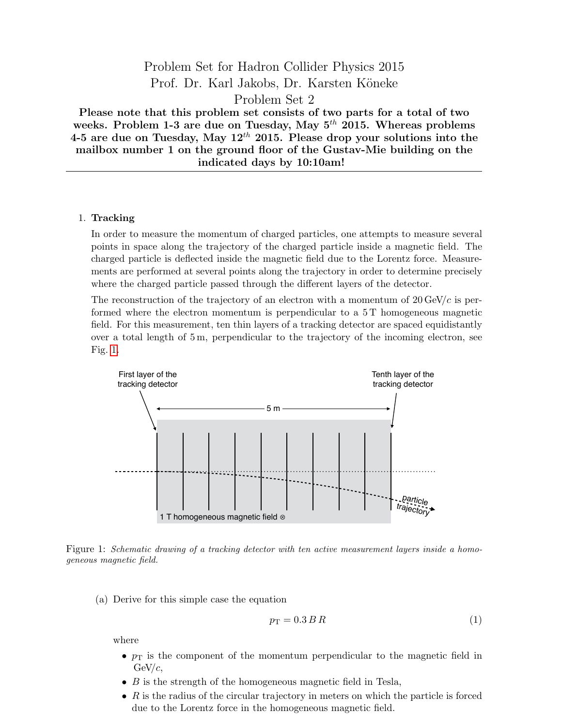# Problem Set for Hadron Collider Physics 2015 Prof. Dr. Karl Jakobs, Dr. Karsten Köneke Problem Set 2

Please note that this problem set consists of two parts for a total of two weeks. Problem 1-3 are due on Tuesday, May  $5<sup>th</sup>$  2015. Whereas problems 4-5 are due on Tuesday, May  $12^{th}$  2015. Please drop your solutions into the mailbox number 1 on the ground floor of the Gustav-Mie building on the indicated days by 10:10am!

#### 1. Tracking

In order to measure the momentum of charged particles, one attempts to measure several points in space along the trajectory of the charged particle inside a magnetic field. The charged particle is deflected inside the magnetic field due to the Lorentz force. Measurements are performed at several points along the trajectory in order to determine precisely where the charged particle passed through the different layers of the detector.

The reconstruction of the trajectory of an electron with a momentum of  $20 \text{ GeV}/c$  is performed where the electron momentum is perpendicular to a 5 T homogeneous magnetic field. For this measurement, ten thin layers of a tracking detector are spaced equidistantly over a total length of 5 m, perpendicular to the trajectory of the incoming electron, see Fig. [1.](#page-0-0)



<span id="page-0-0"></span>Figure 1: Schematic drawing of a tracking detector with ten active measurement layers inside a homogeneous magnetic field.

(a) Derive for this simple case the equation

$$
p_{\rm T} = 0.3 \, B \, R \tag{1}
$$

where

- $p_T$  is the component of the momentum perpendicular to the magnetic field in  $GeV/c$ .
- $\bullet$  B is the strength of the homogeneous magnetic field in Tesla,
- $\bullet$  R is the radius of the circular trajectory in meters on which the particle is forced due to the Lorentz force in the homogeneous magnetic field.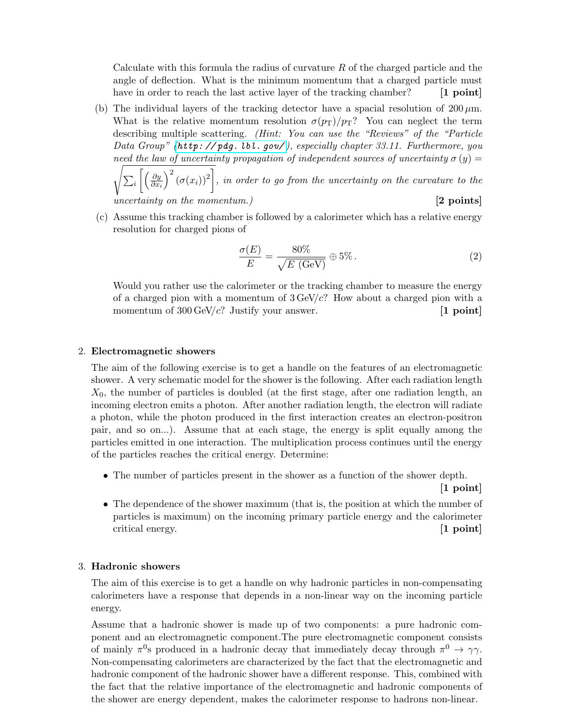Calculate with this formula the radius of curvature  $R$  of the charged particle and the angle of deflection. What is the minimum momentum that a charged particle must have in order to reach the last active layer of the tracking chamber? [1 point]

(b) The individual layers of the tracking detector have a spacial resolution of  $200 \mu m$ . What is the relative momentum resolution  $\sigma(p_T)/p_T$ ? You can neglect the term describing multiple scattering. (Hint: You can use the "Reviews" of the "Particle Data Group" (http://pdg. lbl. gov/), especially chapter 33.11. Furthermore, you need the law of uncertainty propagation of independent sources of uncertainty  $\sigma(y)$ 

s  $\sum_i \left[ \left( \frac{\partial y}{\partial x_i} \right)$  $\overline{\partial x_i}$  $\int_0^2 (\sigma(x_i))^2$ , in order to go from the uncertainty on the curvature to the uncertainty on the momentum.)  $[2 \text{ points}]$ 

(c) Assume this tracking chamber is followed by a calorimeter which has a relative energy resolution for charged pions of

$$
\frac{\sigma(E)}{E} = \frac{80\%}{\sqrt{E \text{ (GeV)}}} \oplus 5\% \,. \tag{2}
$$

Would you rather use the calorimeter or the tracking chamber to measure the energy of a charged pion with a momentum of  $3 \text{ GeV}/c$ ? How about a charged pion with a momentum of  $300 \,\text{GeV}/c$ ? Justify your answer. [1 point]

### 2. Electromagnetic showers

The aim of the following exercise is to get a handle on the features of an electromagnetic shower. A very schematic model for the shower is the following. After each radiation length  $X_0$ , the number of particles is doubled (at the first stage, after one radiation length, an incoming electron emits a photon. After another radiation length, the electron will radiate a photon, while the photon produced in the first interaction creates an electron-positron pair, and so on...). Assume that at each stage, the energy is split equally among the particles emitted in one interaction. The multiplication process continues until the energy of the particles reaches the critical energy. Determine:

• The number of particles present in the shower as a function of the shower depth.

[1 point]

• The dependence of the shower maximum (that is, the position at which the number of particles is maximum) on the incoming primary particle energy and the calorimeter critical energy. [1 point]

# 3. Hadronic showers

The aim of this exercise is to get a handle on why hadronic particles in non-compensating calorimeters have a response that depends in a non-linear way on the incoming particle energy.

Assume that a hadronic shower is made up of two components: a pure hadronic component and an electromagnetic component.The pure electromagnetic component consists of mainly  $\pi^0$ s produced in a hadronic decay that immediately decay through  $\pi^0 \to \gamma \gamma$ . Non-compensating calorimeters are characterized by the fact that the electromagnetic and hadronic component of the hadronic shower have a different response. This, combined with the fact that the relative importance of the electromagnetic and hadronic components of the shower are energy dependent, makes the calorimeter response to hadrons non-linear.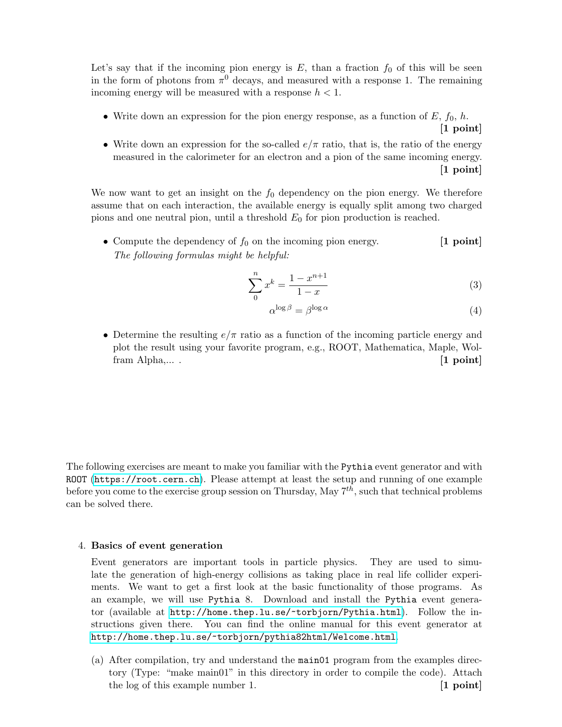Let's say that if the incoming pion energy is  $E$ , than a fraction  $f_0$  of this will be seen in the form of photons from  $\pi^0$  decays, and measured with a response 1. The remaining incoming energy will be measured with a response  $h < 1$ .

• Write down an expression for the pion energy response, as a function of  $E, f_0, h$ .

$$
[1\,\,\mathrm{point}]
$$

• Write down an expression for the so-called  $e/\pi$  ratio, that is, the ratio of the energy measured in the calorimeter for an electron and a pion of the same incoming energy.  $|1$  point

We now want to get an insight on the  $f_0$  dependency on the pion energy. We therefore assume that on each interaction, the available energy is equally split among two charged pions and one neutral pion, until a threshold  $E_0$  for pion production is reached.

• Compute the dependency of  $f_0$  on the incoming pion energy. [1 point] The following formulas might be helpful:

$$
\sum_{0}^{n} x^{k} = \frac{1 - x^{n+1}}{1 - x}
$$
\n(3)

$$
\alpha^{\log \beta} = \beta^{\log \alpha} \tag{4}
$$

• Determine the resulting  $e/\pi$  ratio as a function of the incoming particle energy and plot the result using your favorite program, e.g., ROOT, Mathematica, Maple, Wolfram Alpha,.... [1 point]

The following exercises are meant to make you familiar with the Pythia event generator and with ROOT (<https://root.cern.ch>). Please attempt at least the setup and running of one example before you come to the exercise group session on Thursday, May  $7^{th}$ , such that technical problems can be solved there.

# 4. Basics of event generation

Event generators are important tools in particle physics. They are used to simulate the generation of high-energy collisions as taking place in real life collider experiments. We want to get a first look at the basic functionality of those programs. As an example, we will use Pythia 8. Download and install the Pythia event generator (available at <http://home.thep.lu.se/~torbjorn/Pythia.html>). Follow the instructions given there. You can find the online manual for this event generator at <http://home.thep.lu.se/~torbjorn/pythia82html/Welcome.html>.

(a) After compilation, try and understand the main01 program from the examples directory (Type: "make main01" in this directory in order to compile the code). Attach the log of this example number 1. [1 point]